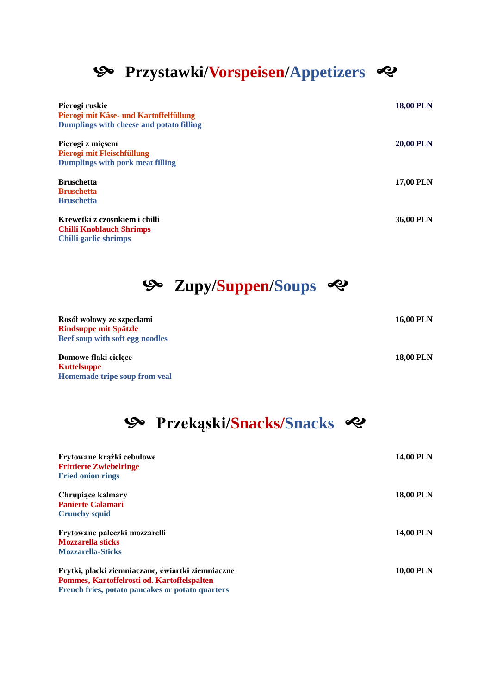## **Przystawki/Vorspeisen/Appetizers**

| Pierogi ruskie<br>Pierogi mit Käse- und Kartoffelfüllung<br>Dumplings with cheese and potato filling | <b>18,00 PLN</b> |
|------------------------------------------------------------------------------------------------------|------------------|
| Pierogi z mięsem<br>Pierogi mit Fleischfüllung<br><b>Dumplings with pork meat filling</b>            | <b>20,00 PLN</b> |
| <b>Bruschetta</b><br><b>Bruschetta</b><br><b>Bruschetta</b>                                          | <b>17,00 PLN</b> |
| Krewetki z czosnkiem i chilli<br><b>Chilli Knoblauch Shrimps</b><br>Chilli garlic shrimps            | 36,00 PLN        |

**Zupy/Suppen/Soups**

| Rosół wołowy ze szpeciami<br><b>Rindsuppe mit Spätzle</b> | <b>16,00 PLN</b> |
|-----------------------------------------------------------|------------------|
| <b>Beef soup with soft egg noodles</b>                    |                  |
| Domowe flaki cielece                                      | <b>18,00 PLN</b> |
| <b>Kuttelsuppe</b>                                        |                  |
| Homemade tripe soup from yeal                             |                  |

| <b>%</b> Przekąski/Snacks/Snacks �� |  |
|-------------------------------------|--|
|                                     |  |

| Frytowane krążki cebulowe<br><b>Frittierte Zwiebelringe</b><br><b>Fried onion rings</b> | <b>14,00 PLN</b> |
|-----------------------------------------------------------------------------------------|------------------|
| Chrupiace kalmary<br><b>Panierte Calamari</b>                                           | <b>18,00 PLN</b> |
| <b>Crunchy squid</b>                                                                    |                  |
| Frytowane pałeczki mozzarelli                                                           | <b>14,00 PLN</b> |
| <b>Mozzarella sticks</b>                                                                |                  |
| <b>Mozzarella-Sticks</b>                                                                |                  |
| Frytki, placki ziemniaczane, ćwiartki ziemniaczne                                       | <b>10,00 PLN</b> |
| Pommes, Kartoffelrosti od. Kartoffelspalten                                             |                  |
| French fries, potato pancakes or potato quarters                                        |                  |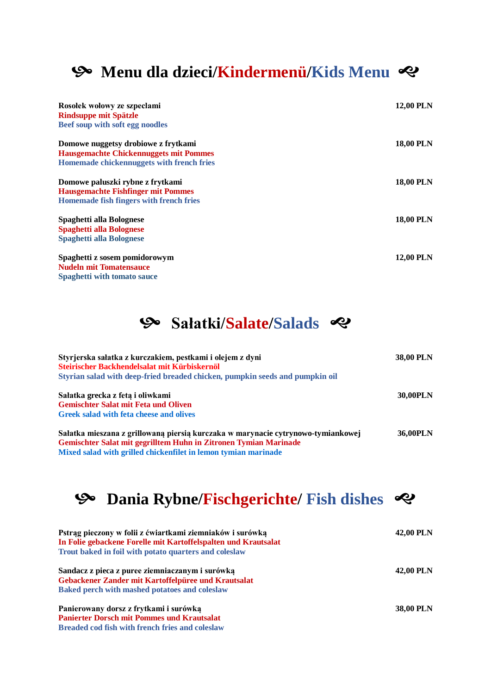### **Menu dla dzieci/Kindermenü/Kids Menu**

| Rosołek wołowy ze szpeciami<br><b>Rindsuppe mit Spätzle</b><br>Beef soup with soft egg noodles | <b>12,00 PLN</b> |
|------------------------------------------------------------------------------------------------|------------------|
| Domowe nuggetsy drobiowe z frytkami                                                            | <b>18,00 PLN</b> |
| <b>Hausgemachte Chickennuggets mit Pommes</b>                                                  |                  |
| Homemade chickennuggets with french fries                                                      |                  |
| Domowe paluszki rybne z frytkami                                                               | <b>18,00 PLN</b> |
| <b>Hausgemachte Fishfinger mit Pommes</b>                                                      |                  |
| Homemade fish fingers with french fries                                                        |                  |
| Spaghetti alla Bolognese                                                                       | <b>18,00 PLN</b> |
| <b>Spaghetti alla Bolognese</b>                                                                |                  |
| <b>Spaghetti alla Bolognese</b>                                                                |                  |
| Spaghetti z sosem pomidorowym                                                                  | <b>12,00 PLN</b> |
| <b>Nudeln mit Tomatensauce</b>                                                                 |                  |
| <b>Spaghetti with tomato sauce</b>                                                             |                  |
|                                                                                                |                  |

#### **Sałatki/Salate/Salads**

| Styrjerska sałatka z kurczakiem, pestkami i olejem z dyni<br>Steirischer Backhendelsalat mit Kürbiskernöl<br>Styrian salad with deep-fried breaded chicken, pumpkin seeds and pumpkin oil                              | <b>38,00 PLN</b> |
|------------------------------------------------------------------------------------------------------------------------------------------------------------------------------------------------------------------------|------------------|
| Sałatka grecka z fetą i oliwkami<br><b>Gemischter Salat mit Feta und Oliven</b><br>Greek salad with feta cheese and olives                                                                                             | 30,00PLN         |
| Sałatka mieszana z grillowaną piersią kurczaka w marynacie cytrynowo-tymiankowej<br>Gemischter Salat mit gegrilltem Huhn in Zitronen Tymian Marinade<br>Mixed salad with grilled chickenfilet in lemon tymian marinade | 36,00PLN         |

## **Dania Rybne/Fischgerichte/ Fish dishes**

| Pstrąg pieczony w folii z ćwiartkami ziemniaków i surówką<br>In Folie gebackene Forelle mit Kartoffelspalten und Krautsalat | 42,00 PLN        |
|-----------------------------------------------------------------------------------------------------------------------------|------------------|
| Trout baked in foil with potato quarters and coleslaw                                                                       |                  |
| Sandacz z pieca z puree ziemniaczanym i surówką                                                                             | 42,00 PLN        |
| Gebackener Zander mit Kartoffelpüree und Krautsalat                                                                         |                  |
| <b>Baked perch with mashed potatoes and coleslaw</b>                                                                        |                  |
| Panierowany dorsz z frytkami i surówką                                                                                      | <b>38,00 PLN</b> |
| <b>Panierter Dorsch mit Pommes und Krautsalat</b>                                                                           |                  |
| <b>Breaded cod fish with french fries and coleslaw</b>                                                                      |                  |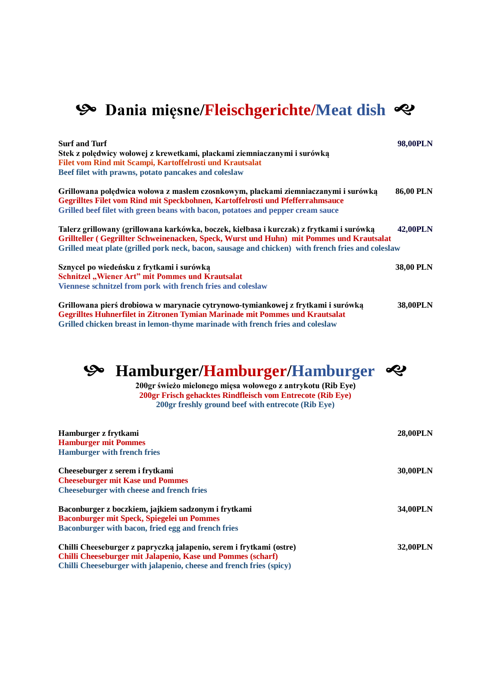### $\mathcal{P}$  Dania mięsne/Fleischgerichte/Meat dish  $\mathcal{P}$

| <b>Surf and Turf</b><br>Stek z polędwicy wołowej z krewetkami, plackami ziemniaczanymi i surówką<br>Filet vom Rind mit Scampi, Kartoffelrosti und Krautsalat<br>Beef filet with prawns, potato pancakes and coleslaw                                                                      | 98,00PLN         |
|-------------------------------------------------------------------------------------------------------------------------------------------------------------------------------------------------------------------------------------------------------------------------------------------|------------------|
| Grillowana polędwica wołowa z masłem czosnkowym, plackami ziemniaczanymi i surówką<br>Gegrilltes Filet vom Rind mit Speckbohnen, Kartoffelrosti und Pfefferrahmsauce<br>Grilled beef filet with green beans with bacon, potatoes and pepper cream sauce                                   | <b>86,00 PLN</b> |
| Talerz grillowany (grillowana karkówka, boczek, kiełbasa i kurczak) z frytkami i surówką<br>Grillteller (Gegrillter Schweinenacken, Speck, Wurst und Huhn) mit Pommes und Krautsalat<br>Grilled meat plate (grilled pork neck, bacon, sausage and chicken) with french fries and coleslaw | 42,00PLN         |
| Sznycel po wiedeńsku z frytkami i surówką<br><b>Schnitzel</b> , Wiener Art" mit Pommes und Krautsalat<br>Viennese schnitzel from pork with french fries and coleslaw                                                                                                                      | 38,00 PLN        |
| Grillowana pierś drobiowa w marynacie cytrynowo-tymiankowej z frytkami i surówką<br><b>Gegrilltes Huhnerfilet in Zitronen Tymian Marinade mit Pommes und Krautsalat</b><br>Grilled chicken breast in lemon-thyme marinade with french fries and coleslaw                                  | <b>38,00PLN</b>  |

#### **Hamburger/Hamburger/Hamburger**

**200gr świeżo mielonego mięsa wołowego z antrykotu (Rib Eye) 200gr Frisch gehacktes Rindfleisch vom Entrecote (Rib Eye) 200gr freshly ground beef with entrecote (Rib Eye)**

| Hamburger z frytkami<br><b>Hamburger mit Pommes</b><br><b>Hamburger with french fries</b>                                                                                                                 | <b>28,00PLN</b> |
|-----------------------------------------------------------------------------------------------------------------------------------------------------------------------------------------------------------|-----------------|
| Cheeseburger z serem i frytkami<br><b>Cheeseburger mit Kase und Pommes</b><br><b>Cheeseburger with cheese and french fries</b>                                                                            | 30,00PLN        |
| Baconburger z boczkiem, jajkiem sadzonym i frytkami<br><b>Baconburger mit Speck, Spiegelei un Pommes</b><br>Baconburger with bacon, fried egg and french fries                                            | 34,00PLN        |
| Chilli Cheeseburger z papryczką jalapenio, serem i frytkami (ostre)<br>Chilli Cheeseburger mit Jalapenio, Kase und Pommes (scharf)<br>Chilli Cheeseburger with jalapenio, cheese and french fries (spicy) | 32,00PLN        |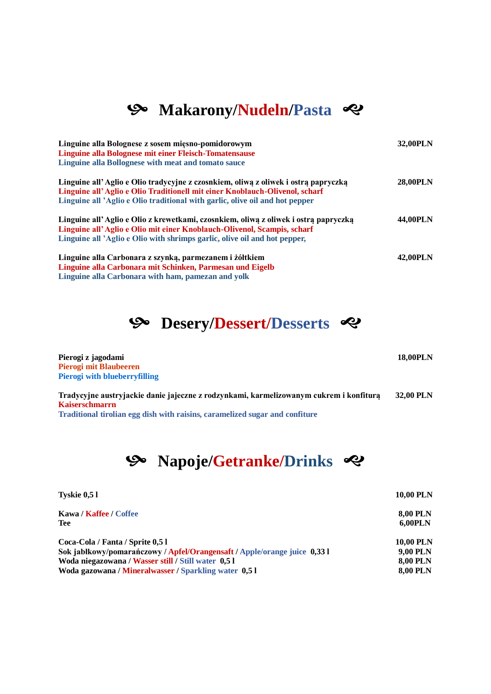# **S** Makarony/Nudeln/Pasta

| Linguine alla Bolognese z sosem miesno-pomidorowym<br>Linguine alla Bolognese mit einer Fleisch-Tomatensause<br>Linguine alla Bollognese with meat and tomato sauce                                                                               | 32,00PLN        |
|---------------------------------------------------------------------------------------------------------------------------------------------------------------------------------------------------------------------------------------------------|-----------------|
| Linguine all'Aglio e Olio tradycyjne z czosnkiem, oliwa z oliwek i ostrą papryczką<br>Linguine all'Aglio e Olio Traditionell mit einer Knoblauch-Olivenol, scharf<br>Linguine all 'Aglio e Olio traditional with garlic, olive oil and hot pepper | <b>28,00PLN</b> |
| Linguine all'Aglio e Olio z krewetkami, czosnkiem, oliwa z oliwek i ostrą papryczką<br>Linguine all'Aglio e Olio mit einer Knoblauch-Olivenol, Scampis, scharf<br>Linguine all 'Aglio e Olio with shrimps garlic, olive oil and hot pepper,       | 44,00PLN        |
| Linguine alla Carbonara z szynką, parmezanem i żółtkiem<br>Linguine alla Carbonara mit Schinken, Parmesan und Eigelb<br>Linguine alla Carbonara with ham, pamezan and yolk                                                                        | 42,00PLN        |



| Pierogi z jagodami                                                                     | <b>18,00PLN</b>  |
|----------------------------------------------------------------------------------------|------------------|
| <b>Pierogi mit Blaubeeren</b>                                                          |                  |
| <b>Pierogi with blueberryfilling</b>                                                   |                  |
| Tradycyjne austryjackie danie jajeczne z rodzynkami, karmelizowanym cukrem i konfiturą | <b>32,00 PLN</b> |
| <b>Kaiserschmarrn</b>                                                                  |                  |
| Traditional tirolian egg dish with raisins, caramelized sugar and confiture            |                  |

# **S** Napoje/Getranke/Drinks  $\approx$

| <b>Tyskie 0,51</b>                                                       | <b>10,00 PLN</b> |
|--------------------------------------------------------------------------|------------------|
| Kawa / Kaffee / Coffee                                                   | <b>8,00 PLN</b>  |
| Tee                                                                      | <b>6,00PLN</b>   |
| Coca-Cola / Fanta / Sprite 0,5 l                                         | <b>10,00 PLN</b> |
| Sok jabłkowy/pomarańczowy / Apfel/Orangensaft / Apple/orange juice 0,331 | 9,00 PLN         |
| Woda niegazowana / Wasser still / Still water 0,5 l                      | <b>8,00 PLN</b>  |
| Woda gazowana / Mineralwasser / Sparkling water 0,51                     | <b>8,00 PLN</b>  |